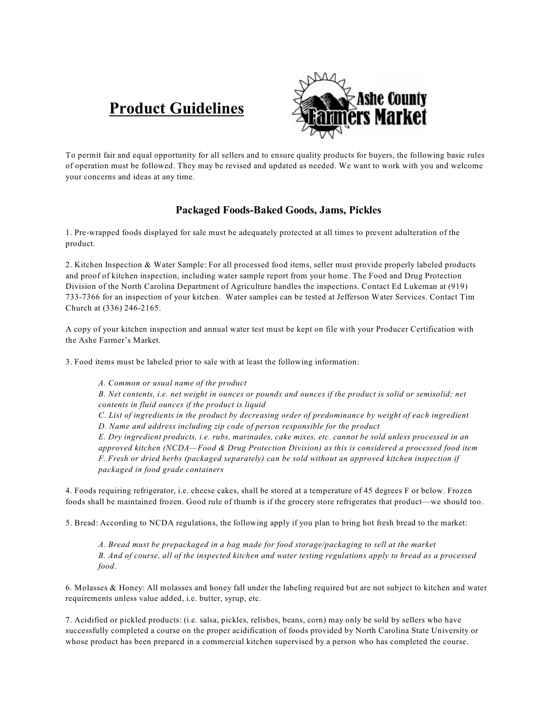# **Product Guidelines**



To permit fair and equal opportunity for all sellers and to ensure quality products for buyers, the following basic rules of operation must be followed. They may be revised and updated as needed. We want to work with you and welcome your concerns and ideas at any time.

## **Packaged Foods-Baked Goods, Jams, Pickles**

1. Pre-wrapped foods displayed for sale must be adequately protected at all times to prevent adulteration of the product.

2. Kitchen Inspection & Water Sample: For all processed food items, seller must provide properly labeled products and proof of kitchen inspection, including water sample report from your home. The Food and Drug Protection Division of the North Carolina Department of Agriculture handles the inspections. Contact Ed Lukeman at (919) 733-7366 for an inspection of your kitchen. Water samples can be tested at Jefferson Water Services. Contact Tim Church at (336) 246-2165.

A copy of your kitchen inspection and annual water test must be kept on file with your Producer Certification with the Ashe Farmer's Market.

3. Food items must be labeled prior to sale with at least the following information:

*A. Common or usual name of the product B. Net contents, i.e. net weight in ounces or pounds and ounces if the product is solid or semisolid; net contents in fluid ounces if the product is liquid C. List of ingredients in the product by decreasing order of predominance by weight of each ingredient D. Name and address including zip code of person responsible for the product E. Dry ingredient products, i.e. rubs, marinades, cake mixes, etc. cannot be sold unless processed in an approved kitchen (NCDA—Food & Drug Protection Division) as this is considered a processed food item F. Fresh or dried herbs (packaged separately) can be sold without an approved kitchen inspection if packaged in food grade containers*

4. Foods requiring refrigerator, i.e. cheese cakes, shall be stored at a temperature of 45 degrees F or below. Frozen foods shall be maintained frozen. Good rule of thumb is if the grocery store refrigerates that product—we should too.

5. Bread: According to NCDA regulations, the following apply if you plan to bring hot fresh bread to the market:

*A. Bread must be prepackaged in a bag made for food storage/packaging to sell at the market B. And of course, all of the inspected kitchen and water testing regulations apply to bread as a processed food*.

6. Molasses & Honey: All molasses and honey fall under the labeling required but are not subject to kitchen and water requirements unless value added, i.e. butter, syrup, etc.

7. Acidified or pickled products: (i.e. salsa, pickles, relishes, beans, corn) may only be sold by sellers who have successfully completed a course on the proper acidification of foods provided by North Carolina State University or whose product has been prepared in a commercial kitchen supervised by a person who has completed the course.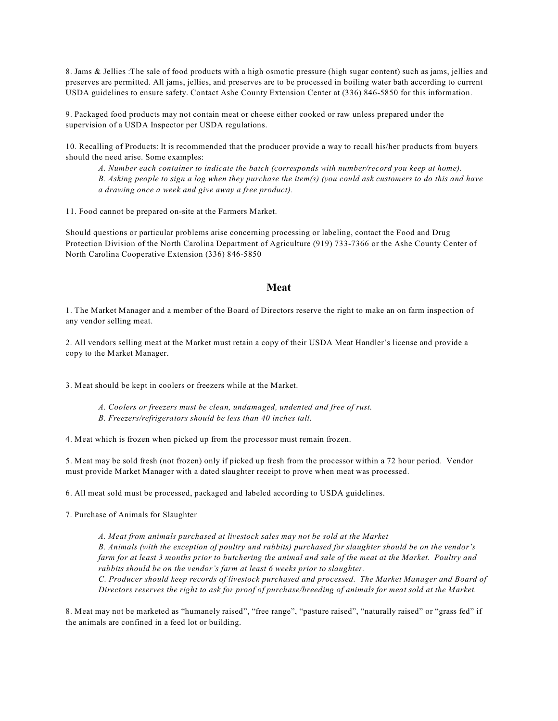8. Jams & Jellies :The sale of food products with a high osmotic pressure (high sugar content) such as jams, jellies and preserves are permitted. All jams, jellies, and preserves are to be processed in boiling water bath according to current USDA guidelines to ensure safety. Contact Ashe County Extension Center at (336) 846-5850 for this information.

9. Packaged food products may not contain meat or cheese either cooked or raw unless prepared under the supervision of a USDA Inspector per USDA regulations.

10. Recalling of Products: It is recommended that the producer provide a way to recall his/her products from buyers should the need arise. Some examples:

*A. Number each container to indicate the batch (corresponds with number/record you keep at home). B. Asking people to sign a log when they purchase the item(s) (you could ask customers to do this and have a drawing once a week and give away a free product).*

11. Food cannot be prepared on-site at the Farmers Market.

Should questions or particular problems arise concerning processing or labeling, contact the Food and Drug Protection Division of the North Carolina Department of Agriculture (919) 733-7366 or the Ashe County Center of North Carolina Cooperative Extension (336) 846-5850

#### **Meat**

1. The Market Manager and a member of the Board of Directors reserve the right to make an on farm inspection of any vendor selling meat.

2. All vendors selling meat at the Market must retain a copy of their USDA Meat Handler's license and provide a copy to the Market Manager.

3. Meat should be kept in coolers or freezers while at the Market.

- *A. Coolers or freezers must be clean, undamaged, undented and free of rust.*
- *B. Freezers/refrigerators should be less than 40 inches tall.*

4. Meat which is frozen when picked up from the processor must remain frozen.

5. Meat may be sold fresh (not frozen) only if picked up fresh from the processor within a 72 hour period. Vendor must provide Market Manager with a dated slaughter receipt to prove when meat was processed.

6. All meat sold must be processed, packaged and labeled according to USDA guidelines.

7. Purchase of Animals for Slaughter

*A. Meat from animals purchased at livestock sales may not be sold at the Market B. Animals (with the exception of poultry and rabbits) purchased for slaughter should be on the vendor's farm for at least 3 months prior to butchering the animal and sale of the meat at the Market. Poultry and rabbits should be on the vendor's farm at least 6 weeks prior to slaughter. C. Producer should keep records of livestock purchased and processed. The Market Manager and Board of Directors reserves the right to ask for proof of purchase/breeding of animals for meat sold at the Market.*

8. Meat may not be marketed as "humanely raised", "free range", "pasture raised", "naturally raised" or "grass fed" if the animals are confined in a feed lot or building.